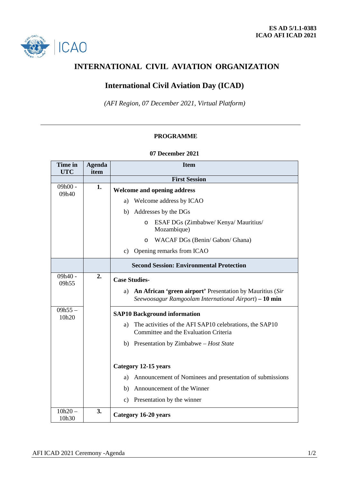

# **INTERNATIONAL CIVIL AVIATION ORGANIZATION**

## **International Civil Aviation Day (ICAD)**

*(AFI Region, 07 December 2021, Virtual Platform)*

### **PROGRAMME**

#### **07 December 2021**

| Time in<br><b>UTC</b> | <b>Agenda</b><br>item | <b>Item</b>                                                                                                              |
|-----------------------|-----------------------|--------------------------------------------------------------------------------------------------------------------------|
|                       |                       | <b>First Session</b>                                                                                                     |
| $09h00 -$<br>09h40    | 1.                    | <b>Welcome and opening address</b>                                                                                       |
|                       |                       | Welcome address by ICAO<br>a)                                                                                            |
|                       |                       | Addresses by the DGs<br>b)                                                                                               |
|                       |                       | ESAF DGs (Zimbabwe/ Kenya/ Mauritius/<br>$\circ$<br>Mozambique)                                                          |
|                       |                       | WACAF DGs (Benin/Gabon/Ghana)<br>O                                                                                       |
|                       |                       | c) Opening remarks from ICAO                                                                                             |
|                       |                       | <b>Second Session: Environmental Protection</b>                                                                          |
| 09h40 -<br>09h55      | 2.                    | <b>Case Studies-</b>                                                                                                     |
|                       |                       | An African 'green airport' Presentation by Mauritius (Sir<br>a)<br>Seewoosagur Ramgoolam International Airport) – 10 min |
| $09h55 -$<br>10h20    |                       | <b>SAP10 Background information</b>                                                                                      |
|                       |                       | The activities of the AFI SAP10 celebrations, the SAP10<br>a)<br>Committee and the Evaluation Criteria                   |
|                       |                       | b) Presentation by Zimbabwe - Host State                                                                                 |
|                       |                       | Category 12-15 years                                                                                                     |
|                       |                       |                                                                                                                          |
|                       |                       | Announcement of Nominees and presentation of submissions<br>a)                                                           |
|                       |                       | Announcement of the Winner<br>b)                                                                                         |
|                       |                       | c) Presentation by the winner                                                                                            |
| $10h20 -$<br>10h30    | 3.                    | Category 16-20 years                                                                                                     |